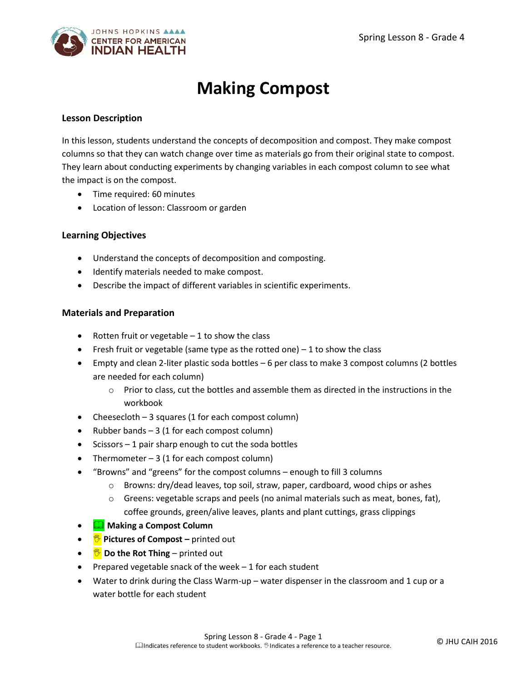

# **Making Compost**

### **Lesson Description**

In this lesson, students understand the concepts of decomposition and compost. They make compost columns so that they can watch change over time as materials go from their original state to compost. They learn about conducting experiments by changing variables in each compost column to see what the impact is on the compost.

- Time required: 60 minutes
- Location of lesson: Classroom or garden

# **Learning Objectives**

- Understand the concepts of decomposition and composting.
- **•** Identify materials needed to make compost.
- Describe the impact of different variables in scientific experiments.

#### **Materials and Preparation**

- Rotten fruit or vegetable  $-1$  to show the class
- Fresh fruit or vegetable (same type as the rotted one)  $-1$  to show the class
- Empty and clean 2-liter plastic soda bottles 6 per class to make 3 compost columns (2 bottles are needed for each column)
	- $\circ$  Prior to class, cut the bottles and assemble them as directed in the instructions in the workbook
- Cheesecloth 3 squares (1 for each compost column)
- Rubber bands  $-3$  (1 for each compost column)
- $\bullet$  Scissors 1 pair sharp enough to cut the soda bottles
- Thermometer  $-3$  (1 for each compost column)
- "Browns" and "greens" for the compost columns enough to fill 3 columns
	- $\circ$  Browns: dry/dead leaves, top soil, straw, paper, cardboard, wood chips or ashes
	- $\circ$  Greens: vegetable scraps and peels (no animal materials such as meat, bones, fat), coffee grounds, green/alive leaves, plants and plant cuttings, grass clippings
- **Making a Compost Column**
- **• Pictures of Compost** printed out
- **●** <sup>●</sup> Do the Rot Thing printed out
- Prepared vegetable snack of the week  $-1$  for each student
- Water to drink during the Class Warm-up water dispenser in the classroom and 1 cup or a water bottle for each student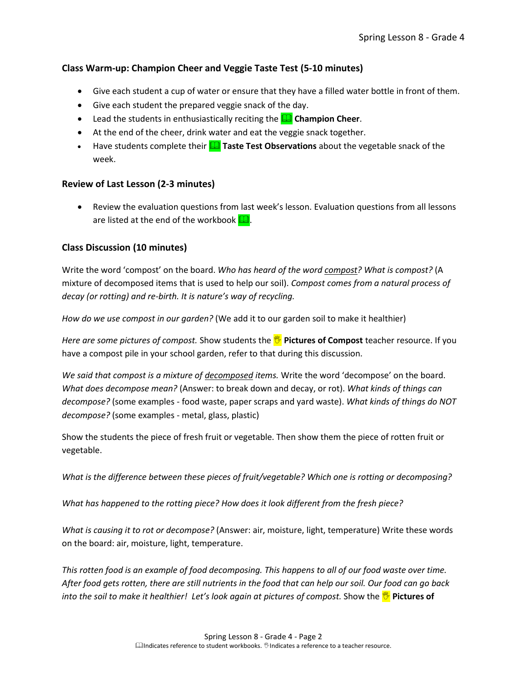# **Class Warm-up: Champion Cheer and Veggie Taste Test (5-10 minutes)**

- Give each student a cup of water or ensure that they have a filled water bottle in front of them.
- Give each student the prepared veggie snack of the day.
- **Example 1** Lead the students in enthusiastically reciting the **QQ** Champion Cheer.
- At the end of the cheer, drink water and eat the veggie snack together.
- **Have students complete their <b>The Taste Test Observations** about the vegetable snack of the week.

#### **Review of Last Lesson (2-3 minutes)**

 Review the evaluation questions from last week's lesson. Evaluation questions from all lessons are listed at the end of the workbook  $\Box$ .

#### **Class Discussion (10 minutes)**

Write the word 'compost' on the board. *Who has heard of the word compost? What is compost?* (A mixture of decomposed items that is used to help our soil). *Compost comes from a natural process of decay (or rotting) and re-birth. It is nature's way of recycling.* 

*How do we use compost in our garden?* (We add it to our garden soil to make it healthier)

*Here are some pictures of compost.* Show students the **Pictures of Compost** teacher resource. If you have a compost pile in your school garden, refer to that during this discussion.

*We said that compost is a mixture of decomposed items.* Write the word 'decompose' on the board. *What does decompose mean?* (Answer: to break down and decay, or rot). *What kinds of things can decompose?* (some examples - food waste, paper scraps and yard waste). *What kinds of things do NOT decompose?* (some examples - metal, glass, plastic)

Show the students the piece of fresh fruit or vegetable. Then show them the piece of rotten fruit or vegetable.

*What is the difference between these pieces of fruit/vegetable? Which one is rotting or decomposing?*

*What has happened to the rotting piece? How does it look different from the fresh piece?*

*What is causing it to rot or decompose?* (Answer: air, moisture, light, temperature) Write these words on the board: air, moisture, light, temperature.

*This rotten food is an example of food decomposing. This happens to all of our food waste over time. After food gets rotten, there are still nutrients in the food that can help our soil. Our food can go back into the soil to make it healthier! Let's look again at pictures of compost. Show the <i>P* Pictures of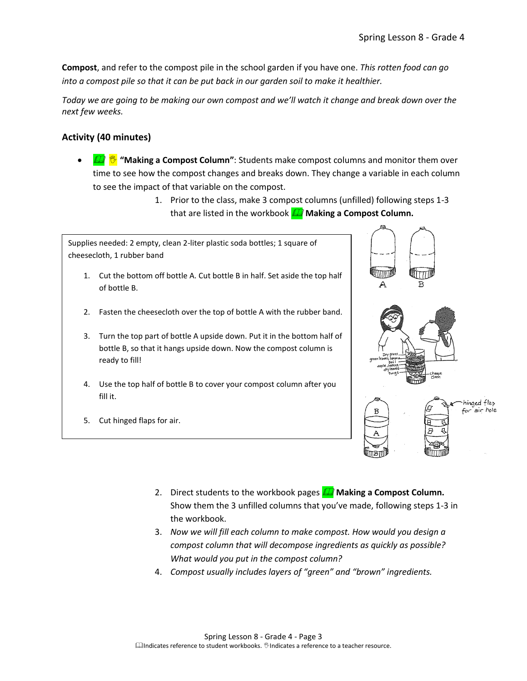**Compost**, and refer to the compost pile in the school garden if you have one. *This rotten food can go into a compost pile so that it can be put back in our garden soil to make it healthier.*

*Today we are going to be making our own compost and we'll watch it change and break down over the next few weeks.*

# **Activity (40 minutes)**

- **THE W** "Making a Compost Column": Students make compost columns and monitor them over time to see how the compost changes and breaks down. They change a variable in each column to see the impact of that variable on the compost.
	- 1. Prior to the class, make 3 compost columns (unfilled) following steps 1-3 that are listed in the workbook **M** Making a Compost Column.

Supplies needed: 2 empty, clean 2-liter plastic soda bottles; 1 square of cheesecloth, 1 rubber band 1. Cut the bottom off bottle A. Cut bottle B in half. Set aside the top half of bottle B. 2. Fasten the cheesecloth over the top of bottle A with the rubber band. 3. Turn the top part of bottle A upside down. Put it in the bottom half of bottle B, so that it hangs upside down. Now the compost column is ready to fill! 4. Use the top half of bottle B to cover your compost column after you fill it. hinged flap air hole

2. Direct students to the workbook pages **A** Making a Compost Column.

3. *Now we will fill each column to make compost. How would you design a compost column that will decompose ingredients as quickly as possible?* 

4. *Compost usually includes layers of "green" and "brown" ingredients.* 

Show them the 3 unfilled columns that you've made, following steps 1-3 in

5. Cut hinged flaps for air.

the workbook.



*What would you put in the compost column?*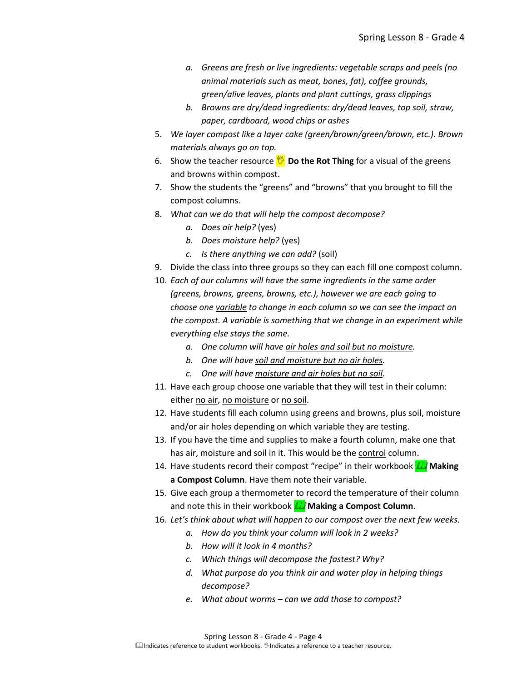- *a. Greens are fresh or live ingredients: vegetable scraps and peels (no animal materials such as meat, bones, fat), coffee grounds, green/alive leaves, plants and plant cuttings, grass clippings*
- *b. Browns are dry/dead ingredients: dry/dead leaves, top soil, straw, paper, cardboard, wood chips or ashes*
- 5. *We layer compost like a layer cake (green/brown/green/brown, etc.). Brown materials always go on top.*
- 6. Show the teacher resource **<b>***D* Do the Rot Thing for a visual of the greens and browns within compost.
- 7. Show the students the "greens" and "browns" that you brought to fill the compost columns.
- 8. *What can we do that will help the compost decompose?* 
	- *a. Does air help?* (yes)
	- *b. Does moisture help?* (yes)
	- *c. Is there anything we can add?* (soil)
- 9. Divide the class into three groups so they can each fill one compost column.
- 10. *Each of our columns will have the same ingredients in the same order (greens, browns, greens, browns, etc.), however we are each going to choose one variable to change in each column so we can see the impact on the compost. A variable is something that we change in an experiment while everything else stays the same.*
	- *a. One column will have air holes and soil but no moisture.*
	- *b. One will have soil and moisture but no air holes.*
	- *c. One will have moisture and air holes but no soil.*
- 11. Have each group choose one variable that they will test in their column: either no air, no moisture or no soil.
- 12. Have students fill each column using greens and browns, plus soil, moisture and/or air holes depending on which variable they are testing.
- 13. If you have the time and supplies to make a fourth column, make one that has air, moisture and soil in it. This would be the control column.
- 14. Have students record their compost "recipe" in their workbook **A** Making **a Compost Column**. Have them note their variable.
- 15. Give each group a thermometer to record the temperature of their column and note this in their workbook **M** Making a Compost Column.
- 16. *Let's think about what will happen to our compost over the next few weeks.*
	- *a. How do you think your column will look in 2 weeks?*
	- *b. How will it look in 4 months?*
	- *c. Which things will decompose the fastest? Why?*
	- *d. What purpose do you think air and water play in helping things decompose?*
	- *e. What about worms – can we add those to compost?*